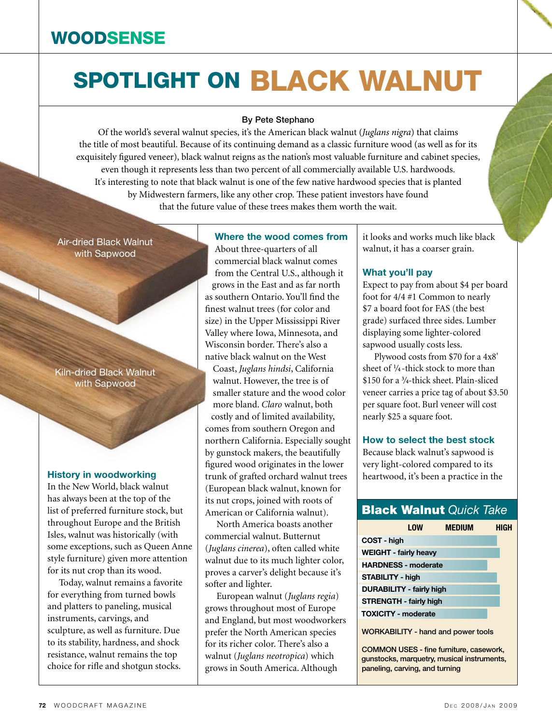# SPOTLIGHT ON BLACK WALNUT

#### By Pete Stephano

Of the world's several walnut species, it's the American black walnut (*Juglans nigra*) that claims the title of most beautiful. Because of its continuing demand as a classic furniture wood (as well as for its exquisitely figured veneer), black walnut reigns as the nation's most valuable furniture and cabinet species, even though it represents less than two percent of all commercially available U.S. hardwoods. It's interesting to note that black walnut is one of the few native hardwood species that is planted by Midwestern farmers, like any other crop. These patient investors have found that the future value of these trees makes them worth the wait.

Air-dried Black Walnut with Sapwood

Kiln-dried Black Walnut with Sapwood

#### **History in woodworking**

In the New World, black walnut has always been at the top of the list of preferred furniture stock, but throughout Europe and the British Isles, walnut was historically (with some exceptions, such as Queen Anne style furniture) given more attention for its nut crop than its wood.

Today, walnut remains a favorite for everything from turned bowls and platters to paneling, musical instruments, carvings, and sculpture, as well as furniture. Due to its stability, hardness, and shock resistance, walnut remains the top choice for rifle and shotgun stocks.

#### **Where the wood comes from**

About three-quarters of all commercial black walnut comes from the Central U.S., although it grows in the East and as far north as southern Ontario. You'll find the finest walnut trees (for color and size) in the Upper Mississippi River Valley where Iowa, Minnesota, and Wisconsin border. There's also a native black walnut on the West Coast, *Juglans hindsi*, California walnut. However, the tree is of smaller stature and the wood color more bland. *Claro* walnut, both costly and of limited availability, comes from southern Oregon and northern California. Especially sought by gunstock makers, the beautifully figured wood originates in the lower trunk of grafted orchard walnut trees (European black walnut, known for its nut crops, joined with roots of American or California walnut).

North America boasts another commercial walnut. Butternut (*Juglans cinerea*), often called white walnut due to its much lighter color, proves a carver's delight because it's softer and lighter.

European walnut (*Juglans regia*) grows throughout most of Europe and England, but most woodworkers prefer the North American species for its richer color. There's also a walnut (*Juglans neotropica*) which grows in South America. Although

it looks and works much like black walnut, it has a coarser grain.

#### **What you'll pay**

Expect to pay from about \$4 per board foot for 4/4 #1 Common to nearly \$7 a board foot for FAS (the best grade) surfaced three sides. Lumber displaying some lighter-colored sapwood usually costs less.

Plywood costs from \$70 for a 4x8' sheet of **<sup>1</sup>** */***<sup>4</sup>** -thick stock to more than \$150 for a **<sup>3</sup>** */***4**-thick sheet. Plain-sliced veneer carries a price tag of about \$3.50 per square foot. Burl veneer will cost nearly \$25 a square foot.

#### **How to select the best stock**

Because black walnut's sapwood is very light-colored compared to its heartwood, it's been a practice in the

### Black Walnut *Quick Take*

|                                           | <b>LOW</b> | <b>MEDIUM</b> | HIGH |
|-------------------------------------------|------------|---------------|------|
| COST - high                               |            |               |      |
| <b>WEIGHT - fairly heavy</b>              |            |               |      |
| <b>HARDNESS - moderate</b>                |            |               |      |
| <b>STABILITY - high</b>                   |            |               |      |
| <b>DURABILITY - fairly high</b>           |            |               |      |
| <b>STRENGTH - fairly high</b>             |            |               |      |
| <b>TOXICITY - moderate</b>                |            |               |      |
| <b>WORKABILITY - hand and power tools</b> |            |               |      |

Common uses - fine furniture, casework, gunstocks, marquetry, musical instruments, paneling, carving, and turning